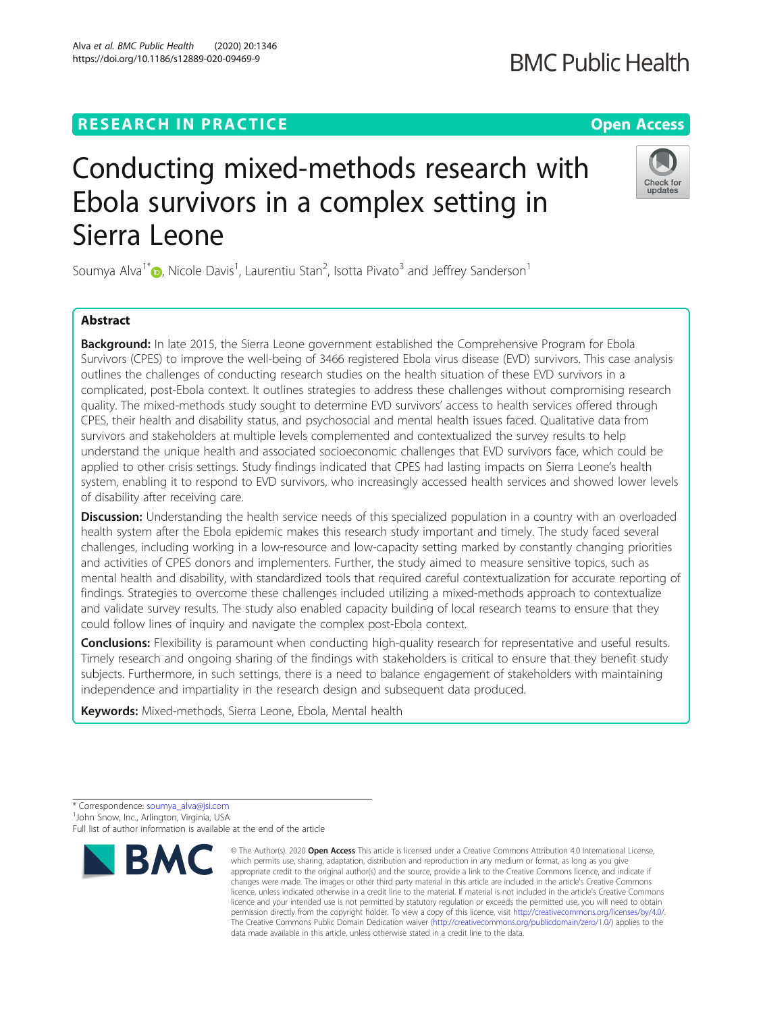# **RESEARCH IN PRACTICE Example 20 and 20 and 20 and 20 and 20 and 20 and 20 and 20 and 20 and 20 and 20 and 20 and 20 and 20 and 20 and 20 and 20 and 20 and 20 and 20 and 20 and 20 and 20 and 20 and 20 and 20 and 20 and 2**

# Conducting mixed-methods research with Ebola survivors in a complex setting in Sierra Leone

Soumya Alva<sup>1\*</sup> $\bm{\odot}$ [,](http://orcid.org/0000-0001-9404-1898) Nicole Davis<sup>1</sup>, Laurentiu Stan<sup>2</sup>, Isotta Pivato<sup>3</sup> and Jeffrey Sanderson<sup>1</sup>

# Abstract

Background: In late 2015, the Sierra Leone government established the Comprehensive Program for Ebola Survivors (CPES) to improve the well-being of 3466 registered Ebola virus disease (EVD) survivors. This case analysis outlines the challenges of conducting research studies on the health situation of these EVD survivors in a complicated, post-Ebola context. It outlines strategies to address these challenges without compromising research quality. The mixed-methods study sought to determine EVD survivors' access to health services offered through CPES, their health and disability status, and psychosocial and mental health issues faced. Qualitative data from survivors and stakeholders at multiple levels complemented and contextualized the survey results to help understand the unique health and associated socioeconomic challenges that EVD survivors face, which could be applied to other crisis settings. Study findings indicated that CPES had lasting impacts on Sierra Leone's health system, enabling it to respond to EVD survivors, who increasingly accessed health services and showed lower levels of disability after receiving care.

Discussion: Understanding the health service needs of this specialized population in a country with an overloaded health system after the Ebola epidemic makes this research study important and timely. The study faced several challenges, including working in a low-resource and low-capacity setting marked by constantly changing priorities and activities of CPES donors and implementers. Further, the study aimed to measure sensitive topics, such as mental health and disability, with standardized tools that required careful contextualization for accurate reporting of findings. Strategies to overcome these challenges included utilizing a mixed-methods approach to contextualize and validate survey results. The study also enabled capacity building of local research teams to ensure that they could follow lines of inquiry and navigate the complex post-Ebola context.

**Conclusions:** Flexibility is paramount when conducting high-quality research for representative and useful results. Timely research and ongoing sharing of the findings with stakeholders is critical to ensure that they benefit study subjects. Furthermore, in such settings, there is a need to balance engagement of stakeholders with maintaining independence and impartiality in the research design and subsequent data produced.

Keywords: Mixed-methods, Sierra Leone, Ebola, Mental health

\* Correspondence: [soumya\\_alva@jsi.com](mailto:soumya_alva@jsi.com) <sup>1</sup> <sup>1</sup>John Snow, Inc., Arlington, Virginia, USA Full list of author information is available at the end of the article

**BMC** 





<sup>©</sup> The Author(s), 2020 **Open Access** This article is licensed under a Creative Commons Attribution 4.0 International License, which permits use, sharing, adaptation, distribution and reproduction in any medium or format, as long as you give appropriate credit to the original author(s) and the source, provide a link to the Creative Commons licence, and indicate if changes were made. The images or other third party material in this article are included in the article's Creative Commons licence, unless indicated otherwise in a credit line to the material. If material is not included in the article's Creative Commons licence and your intended use is not permitted by statutory regulation or exceeds the permitted use, you will need to obtain permission directly from the copyright holder. To view a copy of this licence, visit [http://creativecommons.org/licenses/by/4.0/.](http://creativecommons.org/licenses/by/4.0/) The Creative Commons Public Domain Dedication waiver [\(http://creativecommons.org/publicdomain/zero/1.0/](http://creativecommons.org/publicdomain/zero/1.0/)) applies to the data made available in this article, unless otherwise stated in a credit line to the data.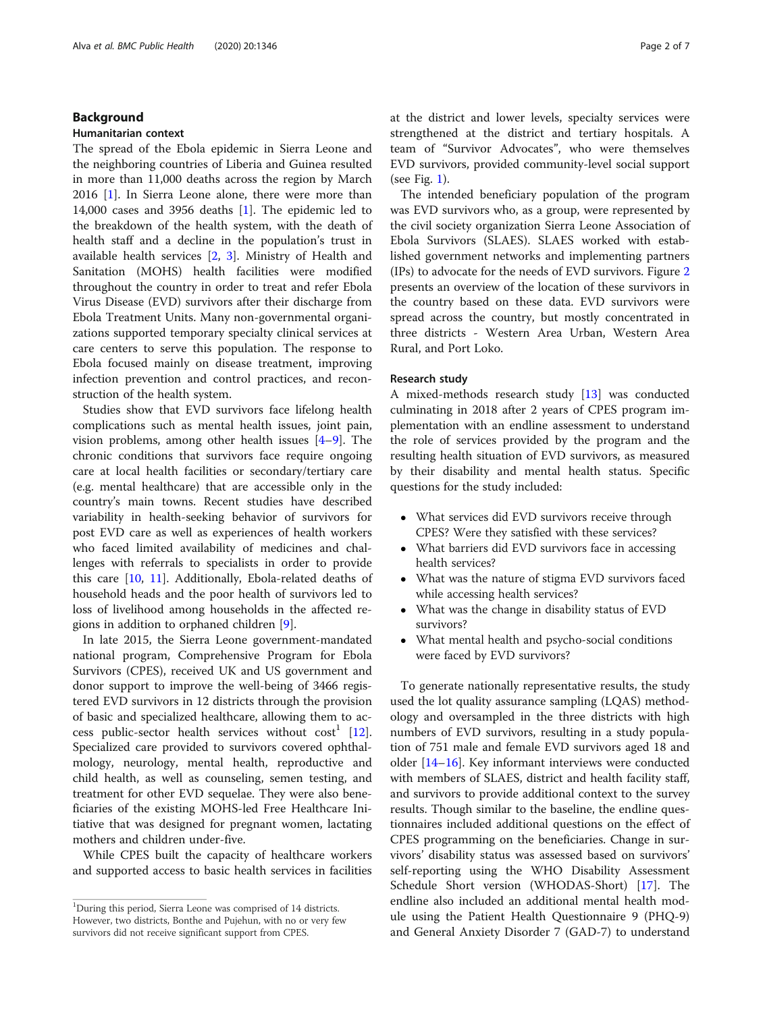# Background

# Humanitarian context

The spread of the Ebola epidemic in Sierra Leone and the neighboring countries of Liberia and Guinea resulted in more than 11,000 deaths across the region by March 2016 [[1\]](#page-6-0). In Sierra Leone alone, there were more than 14,000 cases and 3956 deaths [[1\]](#page-6-0). The epidemic led to the breakdown of the health system, with the death of health staff and a decline in the population's trust in available health services [\[2](#page-6-0), [3\]](#page-6-0). Ministry of Health and Sanitation (MOHS) health facilities were modified throughout the country in order to treat and refer Ebola Virus Disease (EVD) survivors after their discharge from Ebola Treatment Units. Many non-governmental organizations supported temporary specialty clinical services at care centers to serve this population. The response to Ebola focused mainly on disease treatment, improving infection prevention and control practices, and reconstruction of the health system.

Studies show that EVD survivors face lifelong health complications such as mental health issues, joint pain, vision problems, among other health issues [[4](#page-6-0)–[9\]](#page-6-0). The chronic conditions that survivors face require ongoing care at local health facilities or secondary/tertiary care (e.g. mental healthcare) that are accessible only in the country's main towns. Recent studies have described variability in health-seeking behavior of survivors for post EVD care as well as experiences of health workers who faced limited availability of medicines and challenges with referrals to specialists in order to provide this care [[10](#page-6-0), [11\]](#page-6-0). Additionally, Ebola-related deaths of household heads and the poor health of survivors led to loss of livelihood among households in the affected regions in addition to orphaned children [\[9](#page-6-0)].

In late 2015, the Sierra Leone government-mandated national program, Comprehensive Program for Ebola Survivors (CPES), received UK and US government and donor support to improve the well-being of 3466 registered EVD survivors in 12 districts through the provision of basic and specialized healthcare, allowing them to access public-sector health services without  $cost<sup>1</sup>$  [\[12](#page-6-0)]. Specialized care provided to survivors covered ophthalmology, neurology, mental health, reproductive and child health, as well as counseling, semen testing, and treatment for other EVD sequelae. They were also beneficiaries of the existing MOHS-led Free Healthcare Initiative that was designed for pregnant women, lactating mothers and children under-five.

While CPES built the capacity of healthcare workers and supported access to basic health services in facilities at the district and lower levels, specialty services were strengthened at the district and tertiary hospitals. A team of "Survivor Advocates", who were themselves EVD survivors, provided community-level social support (see Fig. [1\)](#page-2-0).

The intended beneficiary population of the program was EVD survivors who, as a group, were represented by the civil society organization Sierra Leone Association of Ebola Survivors (SLAES). SLAES worked with established government networks and implementing partners (IPs) to advocate for the needs of EVD survivors. Figure [2](#page-3-0) presents an overview of the location of these survivors in the country based on these data. EVD survivors were spread across the country, but mostly concentrated in three districts - Western Area Urban, Western Area Rural, and Port Loko.

# Research study

A mixed-methods research study [[13\]](#page-6-0) was conducted culminating in 2018 after 2 years of CPES program implementation with an endline assessment to understand the role of services provided by the program and the resulting health situation of EVD survivors, as measured by their disability and mental health status. Specific questions for the study included:

- What services did EVD survivors receive through CPES? Were they satisfied with these services?
- What barriers did EVD survivors face in accessing health services?
- What was the nature of stigma EVD survivors faced while accessing health services?
- What was the change in disability status of EVD survivors?
- What mental health and psycho-social conditions were faced by EVD survivors?

To generate nationally representative results, the study used the lot quality assurance sampling (LQAS) methodology and oversampled in the three districts with high numbers of EVD survivors, resulting in a study population of 751 male and female EVD survivors aged 18 and older [\[14](#page-6-0)–[16\]](#page-6-0). Key informant interviews were conducted with members of SLAES, district and health facility staff, and survivors to provide additional context to the survey results. Though similar to the baseline, the endline questionnaires included additional questions on the effect of CPES programming on the beneficiaries. Change in survivors' disability status was assessed based on survivors' self-reporting using the WHO Disability Assessment Schedule Short version (WHODAS-Short) [\[17](#page-6-0)]. The endline also included an additional mental health module using the Patient Health Questionnaire 9 (PHQ-9) and General Anxiety Disorder 7 (GAD-7) to understand

<sup>&</sup>lt;sup>1</sup>During this period, Sierra Leone was comprised of 14 districts. However, two districts, Bonthe and Pujehun, with no or very few survivors did not receive significant support from CPES.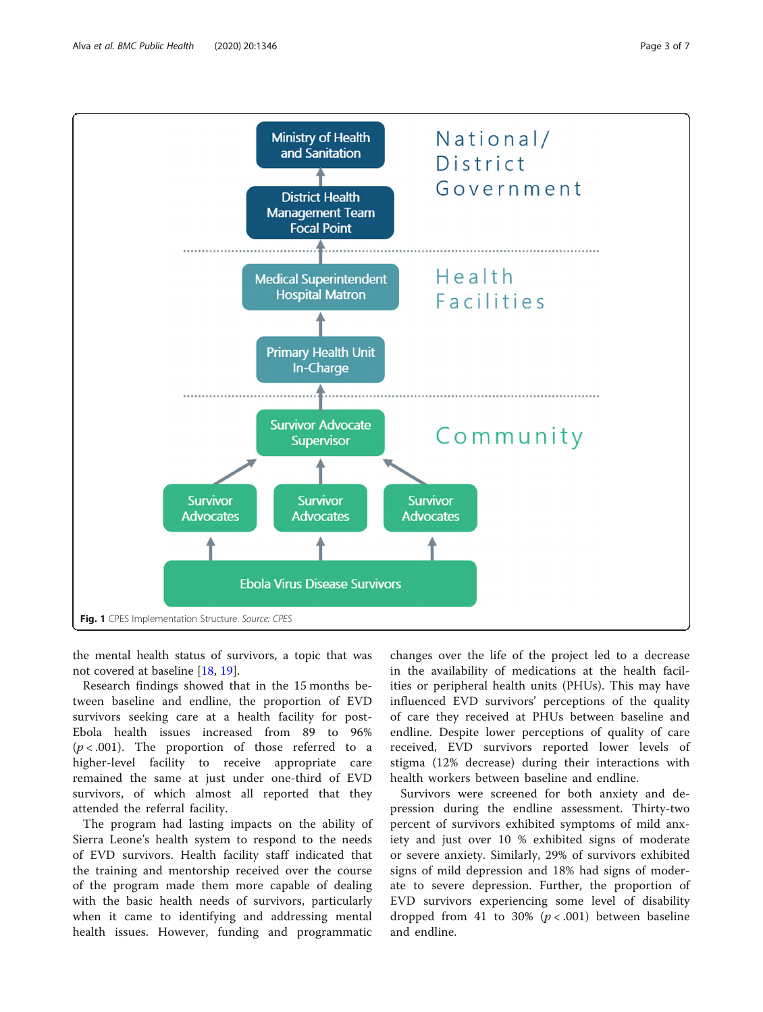<span id="page-2-0"></span>

the mental health status of survivors, a topic that was not covered at baseline [\[18](#page-6-0), [19\]](#page-6-0).

Research findings showed that in the 15 months between baseline and endline, the proportion of EVD survivors seeking care at a health facility for post-Ebola health issues increased from 89 to 96%  $(p < .001)$ . The proportion of those referred to a higher-level facility to receive appropriate care remained the same at just under one-third of EVD survivors, of which almost all reported that they attended the referral facility.

The program had lasting impacts on the ability of Sierra Leone's health system to respond to the needs of EVD survivors. Health facility staff indicated that the training and mentorship received over the course of the program made them more capable of dealing with the basic health needs of survivors, particularly when it came to identifying and addressing mental health issues. However, funding and programmatic

changes over the life of the project led to a decrease in the availability of medications at the health facilities or peripheral health units (PHUs). This may have influenced EVD survivors' perceptions of the quality of care they received at PHUs between baseline and endline. Despite lower perceptions of quality of care received, EVD survivors reported lower levels of stigma (12% decrease) during their interactions with health workers between baseline and endline.

Survivors were screened for both anxiety and depression during the endline assessment. Thirty-two percent of survivors exhibited symptoms of mild anxiety and just over 10 % exhibited signs of moderate or severe anxiety. Similarly, 29% of survivors exhibited signs of mild depression and 18% had signs of moderate to severe depression. Further, the proportion of EVD survivors experiencing some level of disability dropped from 41 to 30% ( $p < .001$ ) between baseline and endline.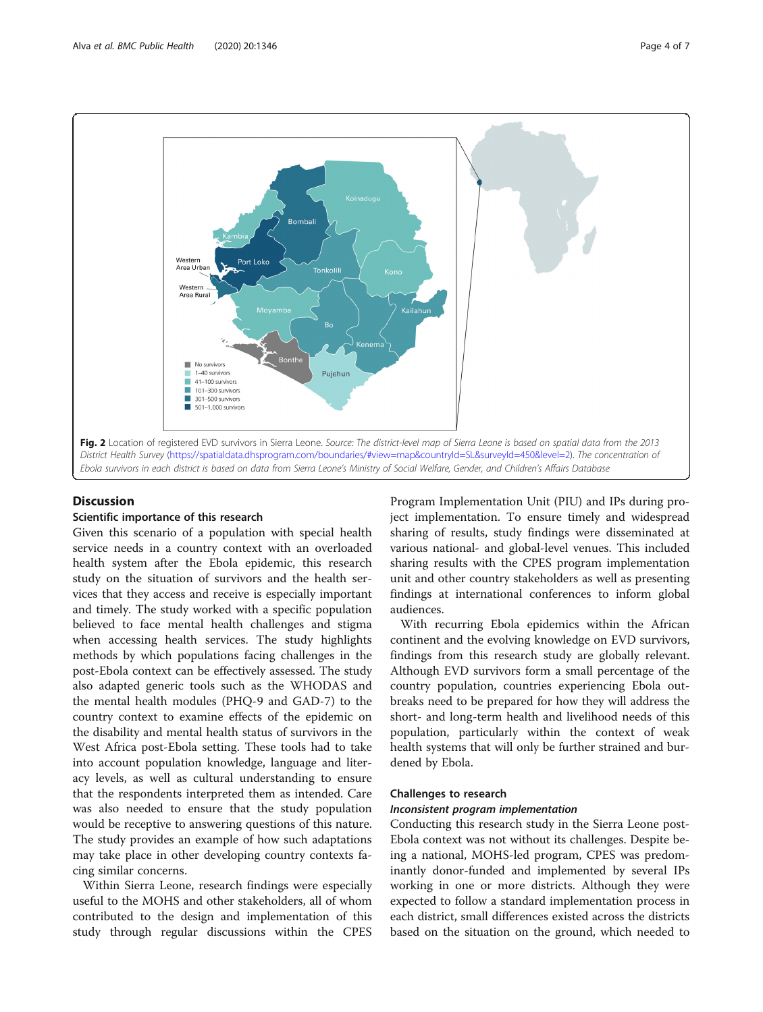<span id="page-3-0"></span>

# **Discussion**

# Scientific importance of this research

Given this scenario of a population with special health service needs in a country context with an overloaded health system after the Ebola epidemic, this research study on the situation of survivors and the health services that they access and receive is especially important and timely. The study worked with a specific population believed to face mental health challenges and stigma when accessing health services. The study highlights methods by which populations facing challenges in the post-Ebola context can be effectively assessed. The study also adapted generic tools such as the WHODAS and the mental health modules (PHQ-9 and GAD-7) to the country context to examine effects of the epidemic on the disability and mental health status of survivors in the West Africa post-Ebola setting. These tools had to take into account population knowledge, language and literacy levels, as well as cultural understanding to ensure that the respondents interpreted them as intended. Care was also needed to ensure that the study population would be receptive to answering questions of this nature. The study provides an example of how such adaptations may take place in other developing country contexts facing similar concerns.

Within Sierra Leone, research findings were especially useful to the MOHS and other stakeholders, all of whom contributed to the design and implementation of this study through regular discussions within the CPES

Program Implementation Unit (PIU) and IPs during project implementation. To ensure timely and widespread sharing of results, study findings were disseminated at various national- and global-level venues. This included sharing results with the CPES program implementation unit and other country stakeholders as well as presenting findings at international conferences to inform global audiences.

With recurring Ebola epidemics within the African continent and the evolving knowledge on EVD survivors, findings from this research study are globally relevant. Although EVD survivors form a small percentage of the country population, countries experiencing Ebola outbreaks need to be prepared for how they will address the short- and long-term health and livelihood needs of this population, particularly within the context of weak health systems that will only be further strained and burdened by Ebola.

# Challenges to research

# Inconsistent program implementation

Conducting this research study in the Sierra Leone post-Ebola context was not without its challenges. Despite being a national, MOHS-led program, CPES was predominantly donor-funded and implemented by several IPs working in one or more districts. Although they were expected to follow a standard implementation process in each district, small differences existed across the districts based on the situation on the ground, which needed to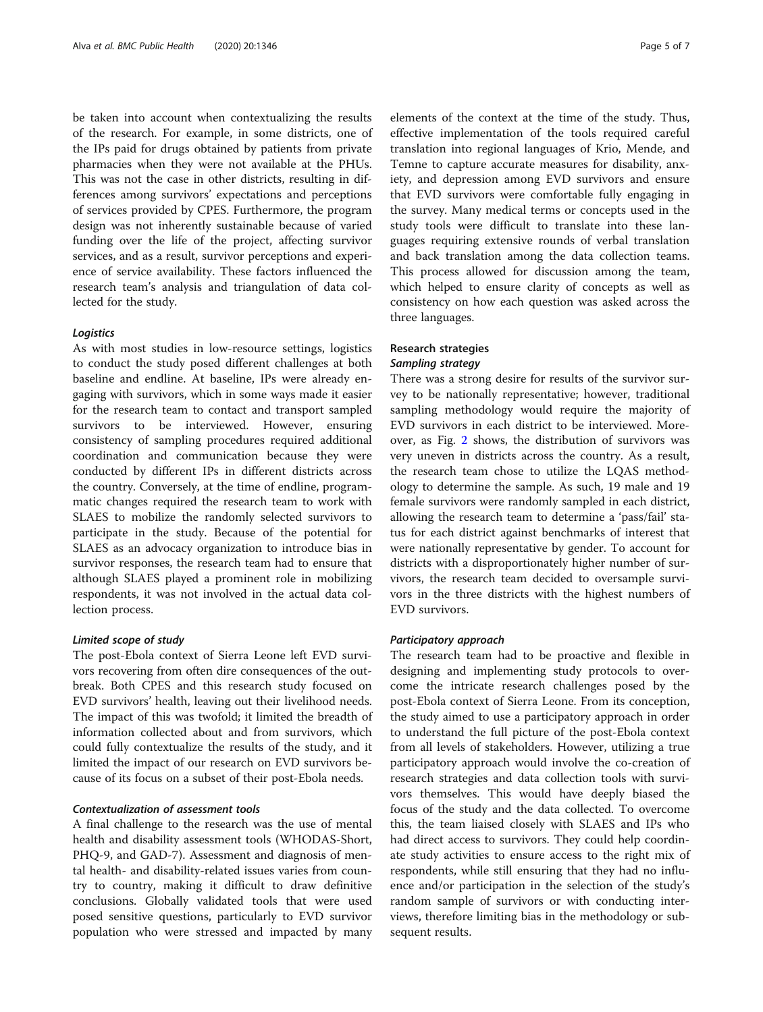be taken into account when contextualizing the results of the research. For example, in some districts, one of the IPs paid for drugs obtained by patients from private pharmacies when they were not available at the PHUs. This was not the case in other districts, resulting in differences among survivors' expectations and perceptions of services provided by CPES. Furthermore, the program design was not inherently sustainable because of varied funding over the life of the project, affecting survivor services, and as a result, survivor perceptions and experience of service availability. These factors influenced the research team's analysis and triangulation of data collected for the study.

# Logistics

As with most studies in low-resource settings, logistics to conduct the study posed different challenges at both baseline and endline. At baseline, IPs were already engaging with survivors, which in some ways made it easier for the research team to contact and transport sampled survivors to be interviewed. However, ensuring consistency of sampling procedures required additional coordination and communication because they were conducted by different IPs in different districts across the country. Conversely, at the time of endline, programmatic changes required the research team to work with SLAES to mobilize the randomly selected survivors to participate in the study. Because of the potential for SLAES as an advocacy organization to introduce bias in survivor responses, the research team had to ensure that although SLAES played a prominent role in mobilizing respondents, it was not involved in the actual data collection process.

#### Limited scope of study

The post-Ebola context of Sierra Leone left EVD survivors recovering from often dire consequences of the outbreak. Both CPES and this research study focused on EVD survivors' health, leaving out their livelihood needs. The impact of this was twofold; it limited the breadth of information collected about and from survivors, which could fully contextualize the results of the study, and it limited the impact of our research on EVD survivors because of its focus on a subset of their post-Ebola needs.

# Contextualization of assessment tools

A final challenge to the research was the use of mental health and disability assessment tools (WHODAS-Short, PHQ-9, and GAD-7). Assessment and diagnosis of mental health- and disability-related issues varies from country to country, making it difficult to draw definitive conclusions. Globally validated tools that were used posed sensitive questions, particularly to EVD survivor population who were stressed and impacted by many elements of the context at the time of the study. Thus, effective implementation of the tools required careful translation into regional languages of Krio, Mende, and Temne to capture accurate measures for disability, anxiety, and depression among EVD survivors and ensure that EVD survivors were comfortable fully engaging in the survey. Many medical terms or concepts used in the study tools were difficult to translate into these languages requiring extensive rounds of verbal translation and back translation among the data collection teams. This process allowed for discussion among the team, which helped to ensure clarity of concepts as well as consistency on how each question was asked across the three languages.

# Research strategies Sampling strategy

There was a strong desire for results of the survivor survey to be nationally representative; however, traditional sampling methodology would require the majority of EVD survivors in each district to be interviewed. Moreover, as Fig. [2](#page-3-0) shows, the distribution of survivors was very uneven in districts across the country. As a result, the research team chose to utilize the LQAS methodology to determine the sample. As such, 19 male and 19 female survivors were randomly sampled in each district, allowing the research team to determine a 'pass/fail' status for each district against benchmarks of interest that were nationally representative by gender. To account for districts with a disproportionately higher number of survivors, the research team decided to oversample survivors in the three districts with the highest numbers of EVD survivors.

#### Participatory approach

The research team had to be proactive and flexible in designing and implementing study protocols to overcome the intricate research challenges posed by the post-Ebola context of Sierra Leone. From its conception, the study aimed to use a participatory approach in order to understand the full picture of the post-Ebola context from all levels of stakeholders. However, utilizing a true participatory approach would involve the co-creation of research strategies and data collection tools with survivors themselves. This would have deeply biased the focus of the study and the data collected. To overcome this, the team liaised closely with SLAES and IPs who had direct access to survivors. They could help coordinate study activities to ensure access to the right mix of respondents, while still ensuring that they had no influence and/or participation in the selection of the study's random sample of survivors or with conducting interviews, therefore limiting bias in the methodology or subsequent results.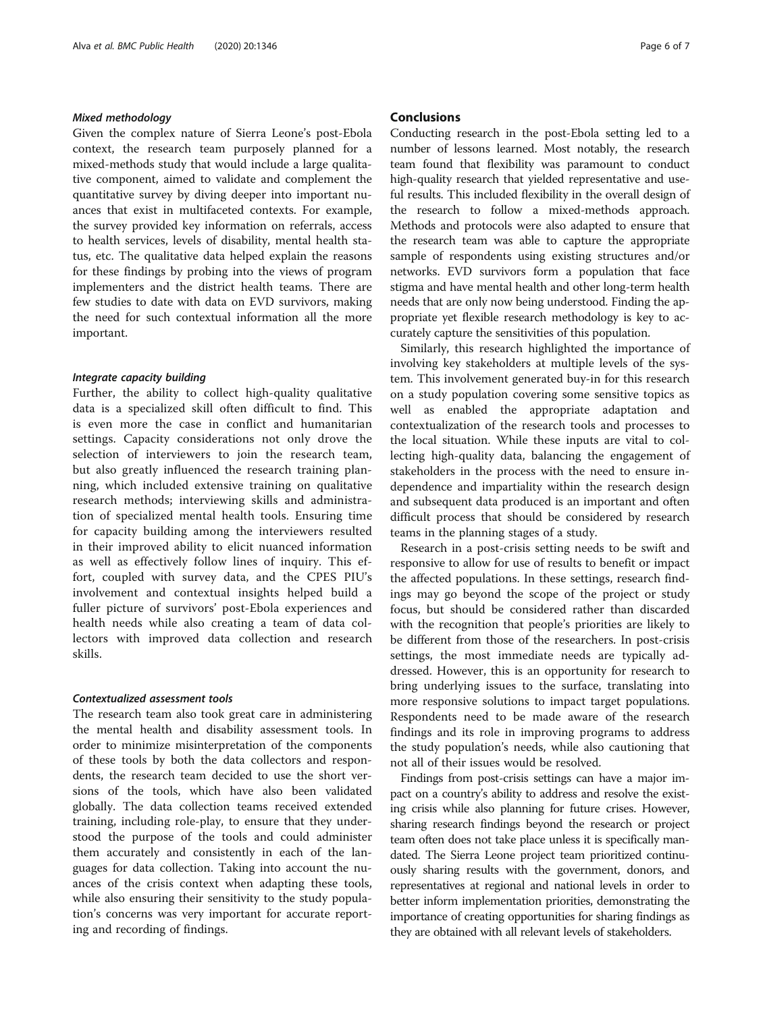#### Mixed methodology

Given the complex nature of Sierra Leone's post-Ebola context, the research team purposely planned for a mixed-methods study that would include a large qualitative component, aimed to validate and complement the quantitative survey by diving deeper into important nuances that exist in multifaceted contexts. For example, the survey provided key information on referrals, access to health services, levels of disability, mental health status, etc. The qualitative data helped explain the reasons for these findings by probing into the views of program implementers and the district health teams. There are few studies to date with data on EVD survivors, making the need for such contextual information all the more important.

#### Integrate capacity building

Further, the ability to collect high-quality qualitative data is a specialized skill often difficult to find. This is even more the case in conflict and humanitarian settings. Capacity considerations not only drove the selection of interviewers to join the research team, but also greatly influenced the research training planning, which included extensive training on qualitative research methods; interviewing skills and administration of specialized mental health tools. Ensuring time for capacity building among the interviewers resulted in their improved ability to elicit nuanced information as well as effectively follow lines of inquiry. This effort, coupled with survey data, and the CPES PIU's involvement and contextual insights helped build a fuller picture of survivors' post-Ebola experiences and health needs while also creating a team of data collectors with improved data collection and research skills.

# Contextualized assessment tools

The research team also took great care in administering the mental health and disability assessment tools. In order to minimize misinterpretation of the components of these tools by both the data collectors and respondents, the research team decided to use the short versions of the tools, which have also been validated globally. The data collection teams received extended training, including role-play, to ensure that they understood the purpose of the tools and could administer them accurately and consistently in each of the languages for data collection. Taking into account the nuances of the crisis context when adapting these tools, while also ensuring their sensitivity to the study population's concerns was very important for accurate reporting and recording of findings.

# **Conclusions**

Conducting research in the post-Ebola setting led to a number of lessons learned. Most notably, the research team found that flexibility was paramount to conduct high-quality research that yielded representative and useful results. This included flexibility in the overall design of the research to follow a mixed-methods approach. Methods and protocols were also adapted to ensure that the research team was able to capture the appropriate sample of respondents using existing structures and/or networks. EVD survivors form a population that face stigma and have mental health and other long-term health needs that are only now being understood. Finding the appropriate yet flexible research methodology is key to accurately capture the sensitivities of this population.

Similarly, this research highlighted the importance of involving key stakeholders at multiple levels of the system. This involvement generated buy-in for this research on a study population covering some sensitive topics as well as enabled the appropriate adaptation and contextualization of the research tools and processes to the local situation. While these inputs are vital to collecting high-quality data, balancing the engagement of stakeholders in the process with the need to ensure independence and impartiality within the research design and subsequent data produced is an important and often difficult process that should be considered by research teams in the planning stages of a study.

Research in a post-crisis setting needs to be swift and responsive to allow for use of results to benefit or impact the affected populations. In these settings, research findings may go beyond the scope of the project or study focus, but should be considered rather than discarded with the recognition that people's priorities are likely to be different from those of the researchers. In post-crisis settings, the most immediate needs are typically addressed. However, this is an opportunity for research to bring underlying issues to the surface, translating into more responsive solutions to impact target populations. Respondents need to be made aware of the research findings and its role in improving programs to address the study population's needs, while also cautioning that not all of their issues would be resolved.

Findings from post-crisis settings can have a major impact on a country's ability to address and resolve the existing crisis while also planning for future crises. However, sharing research findings beyond the research or project team often does not take place unless it is specifically mandated. The Sierra Leone project team prioritized continuously sharing results with the government, donors, and representatives at regional and national levels in order to better inform implementation priorities, demonstrating the importance of creating opportunities for sharing findings as they are obtained with all relevant levels of stakeholders.